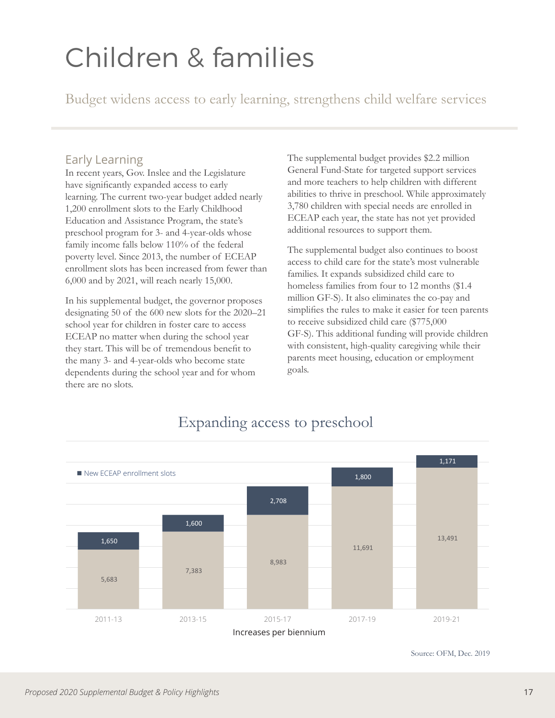## Children & families

Budget widens access to early learning, strengthens child welfare services

## Early Learning

In recent years, Gov. Inslee and the Legislature have significantly expanded access to early learning. The current two-year budget added nearly 1,200 enrollment slots to the Early Childhood Education and Assistance Program, the state's preschool program for 3- and 4-year-olds whose family income falls below 110% of the federal poverty level. Since 2013, the number of ECEAP enrollment slots has been increased from fewer than 6,000 and by 2021, will reach nearly 15,000.

In his supplemental budget, the governor proposes designating 50 of the 600 new slots for the 2020–21 school year for children in foster care to access ECEAP no matter when during the school year they start. This will be of tremendous benefit to the many 3- and 4-year-olds who become state dependents during the school year and for whom there are no slots.

The supplemental budget provides \$2.2 million General Fund-State for targeted support services and more teachers to help children with different abilities to thrive in preschool. While approximately 3,780 children with special needs are enrolled in ECEAP each year, the state has not yet provided additional resources to support them.

The supplemental budget also continues to boost access to child care for the state's most vulnerable families. It expands subsidized child care to homeless families from four to 12 months (\$1.4 million GF-S). It also eliminates the co-pay and simplifies the rules to make it easier for teen parents to receive subsidized child care (\$775,000 GF-S). This additional funding will provide children with consistent, high-quality caregiving while their parents meet housing, education or employment goals.



## Expanding access to preschool

Source: OFM, Dec. 2019